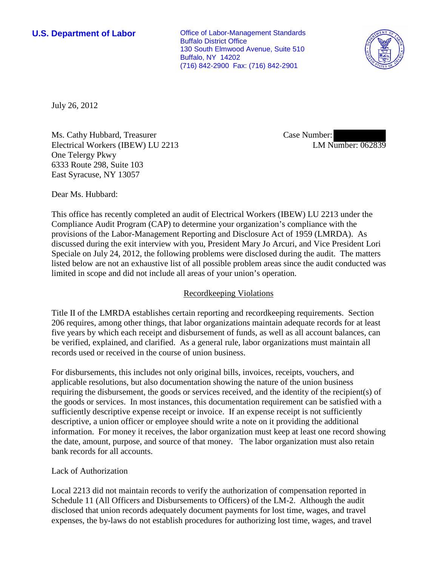**U.S. Department of Labor Office of Labor-Management Standards** Buffalo District Office 130 South Elmwood Avenue, Suite 510 Buffalo, NY 14202 (716) 842-2900 Fax: (716) 842-2901



July 26, 2012

Ms. Cathy Hubbard, Treasurer Electrical Workers (IBEW) LU 2213 One Telergy Pkwy 6333 Route 298, Suite 103 East Syracuse, NY 13057

Case Number: LM Number: 062839

Dear Ms. Hubbard:

This office has recently completed an audit of Electrical Workers (IBEW) LU 2213 under the Compliance Audit Program (CAP) to determine your organization's compliance with the provisions of the Labor-Management Reporting and Disclosure Act of 1959 (LMRDA). As discussed during the exit interview with you, President Mary Jo Arcuri, and Vice President Lori Speciale on July 24, 2012, the following problems were disclosed during the audit. The matters listed below are not an exhaustive list of all possible problem areas since the audit conducted was limited in scope and did not include all areas of your union's operation.

## Recordkeeping Violations

Title II of the LMRDA establishes certain reporting and recordkeeping requirements. Section 206 requires, among other things, that labor organizations maintain adequate records for at least five years by which each receipt and disbursement of funds, as well as all account balances, can be verified, explained, and clarified. As a general rule, labor organizations must maintain all records used or received in the course of union business.

For disbursements, this includes not only original bills, invoices, receipts, vouchers, and applicable resolutions, but also documentation showing the nature of the union business requiring the disbursement, the goods or services received, and the identity of the recipient(s) of the goods or services. In most instances, this documentation requirement can be satisfied with a sufficiently descriptive expense receipt or invoice. If an expense receipt is not sufficiently descriptive, a union officer or employee should write a note on it providing the additional information. For money it receives, the labor organization must keep at least one record showing the date, amount, purpose, and source of that money. The labor organization must also retain bank records for all accounts.

## Lack of Authorization

Local 2213 did not maintain records to verify the authorization of compensation reported in Schedule 11 (All Officers and Disbursements to Officers) of the LM-2. Although the audit disclosed that union records adequately document payments for lost time, wages, and travel expenses, the by-laws do not establish procedures for authorizing lost time, wages, and travel